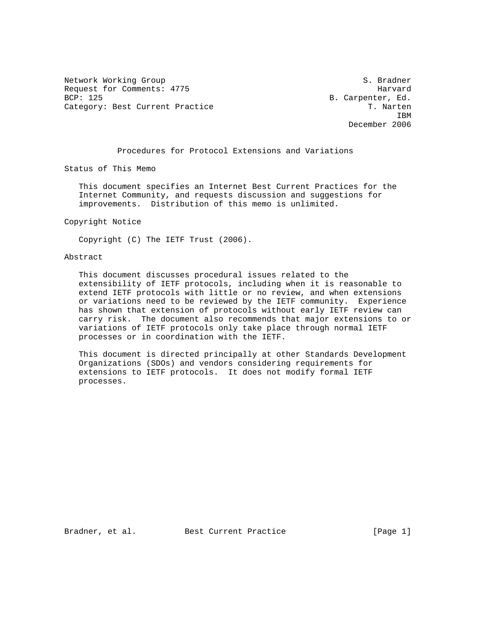Network Working Group S. Bradner Request for Comments: 4775 Harvard BCP: 125 B. Carpenter, Ed. Category: Best Current Practice T. Narten

**IBM IBM** December 2006

Procedures for Protocol Extensions and Variations

Status of This Memo

 This document specifies an Internet Best Current Practices for the Internet Community, and requests discussion and suggestions for improvements. Distribution of this memo is unlimited.

Copyright Notice

Copyright (C) The IETF Trust (2006).

### Abstract

 This document discusses procedural issues related to the extensibility of IETF protocols, including when it is reasonable to extend IETF protocols with little or no review, and when extensions or variations need to be reviewed by the IETF community. Experience has shown that extension of protocols without early IETF review can carry risk. The document also recommends that major extensions to or variations of IETF protocols only take place through normal IETF processes or in coordination with the IETF.

 This document is directed principally at other Standards Development Organizations (SDOs) and vendors considering requirements for extensions to IETF protocols. It does not modify formal IETF processes.

Bradner, et al. Best Current Practice [Page 1]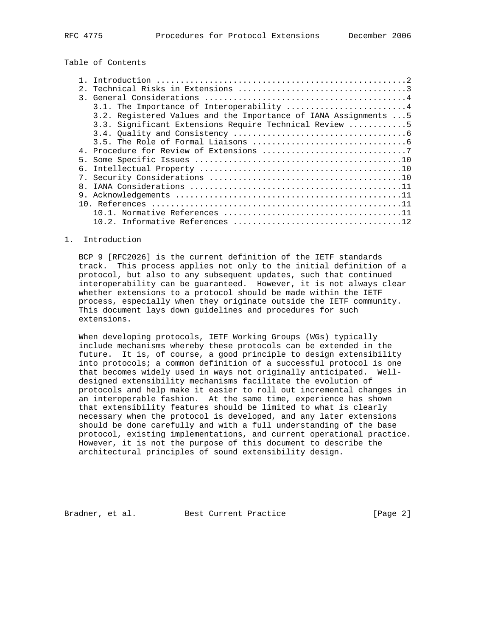Table of Contents

|              | 3.1. The Importance of Interoperability 4                        |
|--------------|------------------------------------------------------------------|
|              | 3.2. Registered Values and the Importance of IANA Assignments  5 |
|              | 3.3. Significant Extensions Require Technical Review 5           |
|              |                                                                  |
|              |                                                                  |
|              |                                                                  |
|              |                                                                  |
|              |                                                                  |
|              |                                                                  |
| $\mathsf{R}$ |                                                                  |
|              |                                                                  |
|              |                                                                  |
|              |                                                                  |
|              |                                                                  |

#### 1. Introduction

 BCP 9 [RFC2026] is the current definition of the IETF standards track. This process applies not only to the initial definition of a protocol, but also to any subsequent updates, such that continued interoperability can be guaranteed. However, it is not always clear whether extensions to a protocol should be made within the IETF process, especially when they originate outside the IETF community. This document lays down guidelines and procedures for such extensions.

 When developing protocols, IETF Working Groups (WGs) typically include mechanisms whereby these protocols can be extended in the future. It is, of course, a good principle to design extensibility into protocols; a common definition of a successful protocol is one that becomes widely used in ways not originally anticipated. Well designed extensibility mechanisms facilitate the evolution of protocols and help make it easier to roll out incremental changes in an interoperable fashion. At the same time, experience has shown that extensibility features should be limited to what is clearly necessary when the protocol is developed, and any later extensions should be done carefully and with a full understanding of the base protocol, existing implementations, and current operational practice. However, it is not the purpose of this document to describe the architectural principles of sound extensibility design.

Bradner, et al. Best Current Practice [Page 2]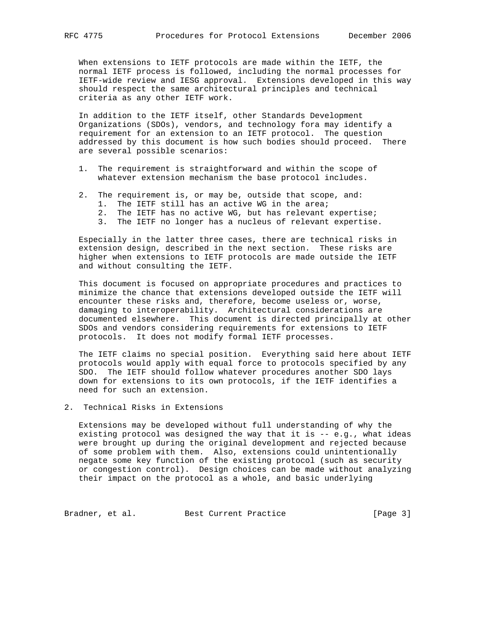When extensions to IETF protocols are made within the IETF, the normal IETF process is followed, including the normal processes for IETF-wide review and IESG approval. Extensions developed in this way should respect the same architectural principles and technical criteria as any other IETF work.

 In addition to the IETF itself, other Standards Development Organizations (SDOs), vendors, and technology fora may identify a requirement for an extension to an IETF protocol. The question addressed by this document is how such bodies should proceed. There are several possible scenarios:

- 1. The requirement is straightforward and within the scope of whatever extension mechanism the base protocol includes.
- 2. The requirement is, or may be, outside that scope, and:
	- 1. The IETF still has an active WG in the area;
	- 2. The IETF has no active WG, but has relevant expertise;
	- 3. The IETF no longer has a nucleus of relevant expertise.

 Especially in the latter three cases, there are technical risks in extension design, described in the next section. These risks are higher when extensions to IETF protocols are made outside the IETF and without consulting the IETF.

 This document is focused on appropriate procedures and practices to minimize the chance that extensions developed outside the IETF will encounter these risks and, therefore, become useless or, worse, damaging to interoperability. Architectural considerations are documented elsewhere. This document is directed principally at other SDOs and vendors considering requirements for extensions to IETF protocols. It does not modify formal IETF processes.

 The IETF claims no special position. Everything said here about IETF protocols would apply with equal force to protocols specified by any SDO. The IETF should follow whatever procedures another SDO lays down for extensions to its own protocols, if the IETF identifies a need for such an extension.

2. Technical Risks in Extensions

 Extensions may be developed without full understanding of why the existing protocol was designed the way that it is  $- - e.g.$ , what ideas were brought up during the original development and rejected because of some problem with them. Also, extensions could unintentionally negate some key function of the existing protocol (such as security or congestion control). Design choices can be made without analyzing their impact on the protocol as a whole, and basic underlying

Bradner, et al. Best Current Practice [Page 3]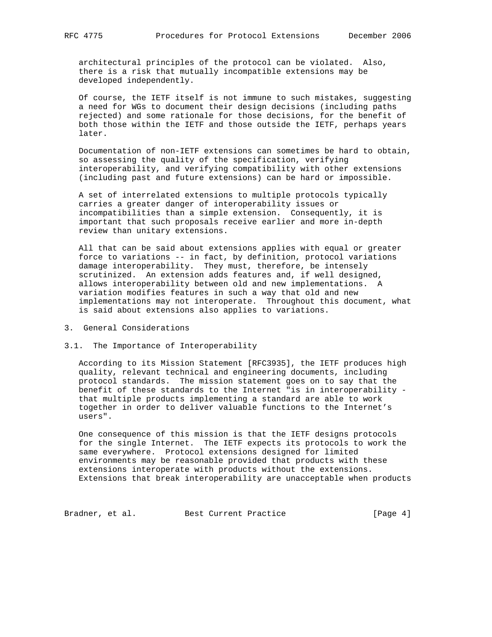architectural principles of the protocol can be violated. Also, there is a risk that mutually incompatible extensions may be developed independently.

 Of course, the IETF itself is not immune to such mistakes, suggesting a need for WGs to document their design decisions (including paths rejected) and some rationale for those decisions, for the benefit of both those within the IETF and those outside the IETF, perhaps years later.

 Documentation of non-IETF extensions can sometimes be hard to obtain, so assessing the quality of the specification, verifying interoperability, and verifying compatibility with other extensions (including past and future extensions) can be hard or impossible.

 A set of interrelated extensions to multiple protocols typically carries a greater danger of interoperability issues or incompatibilities than a simple extension. Consequently, it is important that such proposals receive earlier and more in-depth review than unitary extensions.

 All that can be said about extensions applies with equal or greater force to variations -- in fact, by definition, protocol variations damage interoperability. They must, therefore, be intensely scrutinized. An extension adds features and, if well designed, allows interoperability between old and new implementations. A variation modifies features in such a way that old and new implementations may not interoperate. Throughout this document, what is said about extensions also applies to variations.

- 3. General Considerations
- 3.1. The Importance of Interoperability

 According to its Mission Statement [RFC3935], the IETF produces high quality, relevant technical and engineering documents, including protocol standards. The mission statement goes on to say that the benefit of these standards to the Internet "is in interoperability that multiple products implementing a standard are able to work together in order to deliver valuable functions to the Internet's users".

 One consequence of this mission is that the IETF designs protocols for the single Internet. The IETF expects its protocols to work the same everywhere. Protocol extensions designed for limited environments may be reasonable provided that products with these extensions interoperate with products without the extensions. Extensions that break interoperability are unacceptable when products

Bradner, et al. Best Current Practice [Page 4]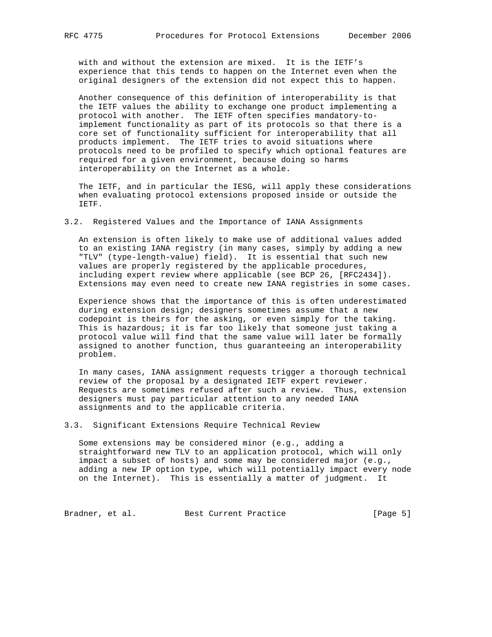with and without the extension are mixed. It is the IETF's experience that this tends to happen on the Internet even when the original designers of the extension did not expect this to happen.

 Another consequence of this definition of interoperability is that the IETF values the ability to exchange one product implementing a protocol with another. The IETF often specifies mandatory-to implement functionality as part of its protocols so that there is a core set of functionality sufficient for interoperability that all products implement. The IETF tries to avoid situations where protocols need to be profiled to specify which optional features are required for a given environment, because doing so harms interoperability on the Internet as a whole.

 The IETF, and in particular the IESG, will apply these considerations when evaluating protocol extensions proposed inside or outside the IETF.

3.2. Registered Values and the Importance of IANA Assignments

 An extension is often likely to make use of additional values added to an existing IANA registry (in many cases, simply by adding a new "TLV" (type-length-value) field). It is essential that such new values are properly registered by the applicable procedures, including expert review where applicable (see BCP 26, [RFC2434]). Extensions may even need to create new IANA registries in some cases.

 Experience shows that the importance of this is often underestimated during extension design; designers sometimes assume that a new codepoint is theirs for the asking, or even simply for the taking. This is hazardous; it is far too likely that someone just taking a protocol value will find that the same value will later be formally assigned to another function, thus guaranteeing an interoperability problem.

 In many cases, IANA assignment requests trigger a thorough technical review of the proposal by a designated IETF expert reviewer. Requests are sometimes refused after such a review. Thus, extension designers must pay particular attention to any needed IANA assignments and to the applicable criteria.

3.3. Significant Extensions Require Technical Review

 Some extensions may be considered minor (e.g., adding a straightforward new TLV to an application protocol, which will only impact a subset of hosts) and some may be considered major (e.g., adding a new IP option type, which will potentially impact every node on the Internet). This is essentially a matter of judgment. It

Bradner, et al. Best Current Practice [Page 5]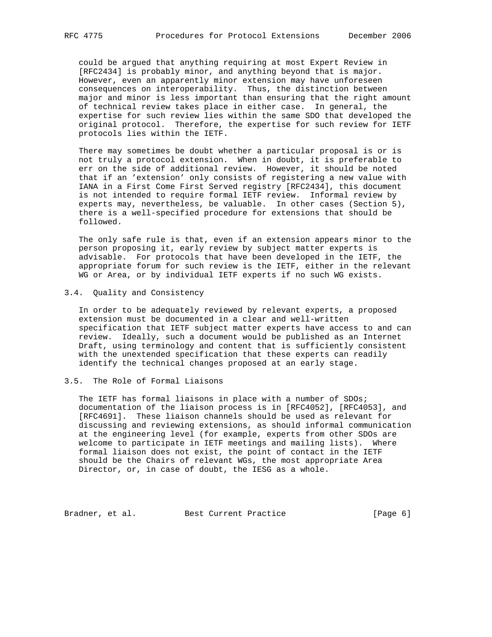could be argued that anything requiring at most Expert Review in [RFC2434] is probably minor, and anything beyond that is major. However, even an apparently minor extension may have unforeseen consequences on interoperability. Thus, the distinction between major and minor is less important than ensuring that the right amount of technical review takes place in either case. In general, the expertise for such review lies within the same SDO that developed the original protocol. Therefore, the expertise for such review for IETF protocols lies within the IETF.

 There may sometimes be doubt whether a particular proposal is or is not truly a protocol extension. When in doubt, it is preferable to err on the side of additional review. However, it should be noted that if an 'extension' only consists of registering a new value with IANA in a First Come First Served registry [RFC2434], this document is not intended to require formal IETF review. Informal review by experts may, nevertheless, be valuable. In other cases (Section 5), there is a well-specified procedure for extensions that should be followed.

 The only safe rule is that, even if an extension appears minor to the person proposing it, early review by subject matter experts is advisable. For protocols that have been developed in the IETF, the appropriate forum for such review is the IETF, either in the relevant WG or Area, or by individual IETF experts if no such WG exists.

3.4. Quality and Consistency

 In order to be adequately reviewed by relevant experts, a proposed extension must be documented in a clear and well-written specification that IETF subject matter experts have access to and can review. Ideally, such a document would be published as an Internet Draft, using terminology and content that is sufficiently consistent with the unextended specification that these experts can readily identify the technical changes proposed at an early stage.

# 3.5. The Role of Formal Liaisons

 The IETF has formal liaisons in place with a number of SDOs; documentation of the liaison process is in [RFC4052], [RFC4053], and [RFC4691]. These liaison channels should be used as relevant for discussing and reviewing extensions, as should informal communication at the engineering level (for example, experts from other SDOs are welcome to participate in IETF meetings and mailing lists). Where formal liaison does not exist, the point of contact in the IETF should be the Chairs of relevant WGs, the most appropriate Area Director, or, in case of doubt, the IESG as a whole.

Bradner, et al. Best Current Practice [Page 6]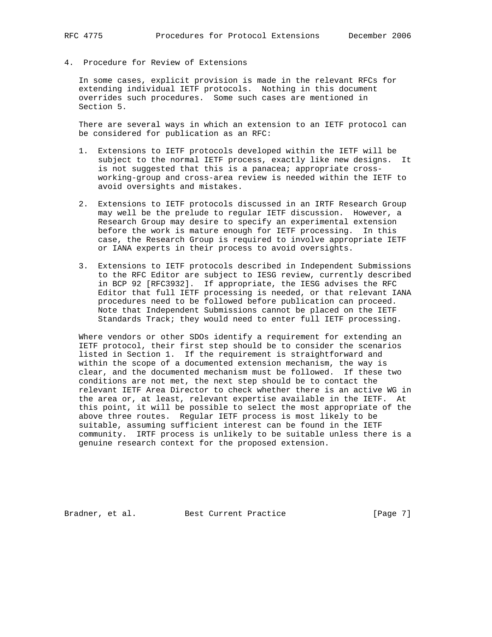4. Procedure for Review of Extensions

 In some cases, explicit provision is made in the relevant RFCs for extending individual IETF protocols. Nothing in this document overrides such procedures. Some such cases are mentioned in Section 5.

 There are several ways in which an extension to an IETF protocol can be considered for publication as an RFC:

- 1. Extensions to IETF protocols developed within the IETF will be subject to the normal IETF process, exactly like new designs. It is not suggested that this is a panacea; appropriate cross working-group and cross-area review is needed within the IETF to avoid oversights and mistakes.
- 2. Extensions to IETF protocols discussed in an IRTF Research Group may well be the prelude to regular IETF discussion. However, a Research Group may desire to specify an experimental extension before the work is mature enough for IETF processing. In this case, the Research Group is required to involve appropriate IETF or IANA experts in their process to avoid oversights.
- 3. Extensions to IETF protocols described in Independent Submissions to the RFC Editor are subject to IESG review, currently described in BCP 92 [RFC3932]. If appropriate, the IESG advises the RFC Editor that full IETF processing is needed, or that relevant IANA procedures need to be followed before publication can proceed. Note that Independent Submissions cannot be placed on the IETF Standards Track; they would need to enter full IETF processing.

 Where vendors or other SDOs identify a requirement for extending an IETF protocol, their first step should be to consider the scenarios listed in Section 1. If the requirement is straightforward and within the scope of a documented extension mechanism, the way is clear, and the documented mechanism must be followed. If these two conditions are not met, the next step should be to contact the relevant IETF Area Director to check whether there is an active WG in the area or, at least, relevant expertise available in the IETF. At this point, it will be possible to select the most appropriate of the above three routes. Regular IETF process is most likely to be suitable, assuming sufficient interest can be found in the IETF community. IRTF process is unlikely to be suitable unless there is a genuine research context for the proposed extension.

Bradner, et al. Best Current Practice [Page 7]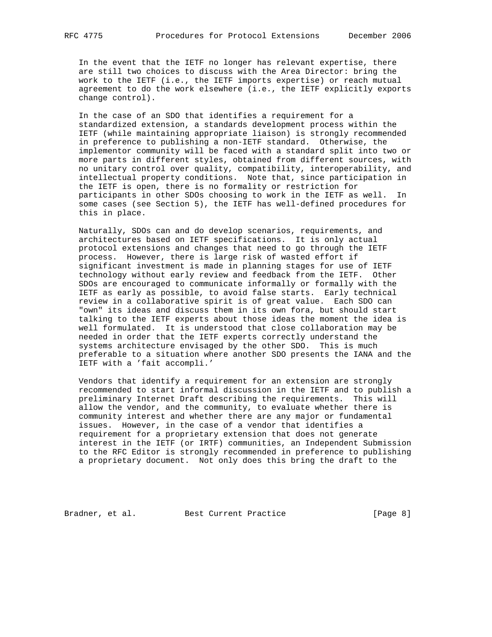In the event that the IETF no longer has relevant expertise, there are still two choices to discuss with the Area Director: bring the work to the IETF (i.e., the IETF imports expertise) or reach mutual agreement to do the work elsewhere (i.e., the IETF explicitly exports change control).

 In the case of an SDO that identifies a requirement for a standardized extension, a standards development process within the IETF (while maintaining appropriate liaison) is strongly recommended in preference to publishing a non-IETF standard. Otherwise, the implementor community will be faced with a standard split into two or more parts in different styles, obtained from different sources, with no unitary control over quality, compatibility, interoperability, and intellectual property conditions. Note that, since participation in the IETF is open, there is no formality or restriction for participants in other SDOs choosing to work in the IETF as well. In some cases (see Section 5), the IETF has well-defined procedures for this in place.

 Naturally, SDOs can and do develop scenarios, requirements, and architectures based on IETF specifications. It is only actual protocol extensions and changes that need to go through the IETF process. However, there is large risk of wasted effort if significant investment is made in planning stages for use of IETF technology without early review and feedback from the IETF. Other SDOs are encouraged to communicate informally or formally with the IETF as early as possible, to avoid false starts. Early technical review in a collaborative spirit is of great value. Each SDO can "own" its ideas and discuss them in its own fora, but should start talking to the IETF experts about those ideas the moment the idea is well formulated. It is understood that close collaboration may be needed in order that the IETF experts correctly understand the systems architecture envisaged by the other SDO. This is much preferable to a situation where another SDO presents the IANA and the IETF with a 'fait accompli.'

 Vendors that identify a requirement for an extension are strongly recommended to start informal discussion in the IETF and to publish a preliminary Internet Draft describing the requirements. This will allow the vendor, and the community, to evaluate whether there is community interest and whether there are any major or fundamental issues. However, in the case of a vendor that identifies a requirement for a proprietary extension that does not generate interest in the IETF (or IRTF) communities, an Independent Submission to the RFC Editor is strongly recommended in preference to publishing a proprietary document. Not only does this bring the draft to the

Bradner, et al. Best Current Practice [Page 8]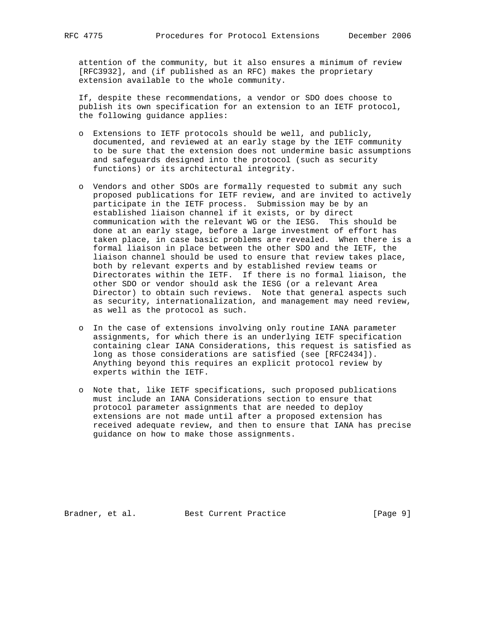attention of the community, but it also ensures a minimum of review [RFC3932], and (if published as an RFC) makes the proprietary extension available to the whole community.

 If, despite these recommendations, a vendor or SDO does choose to publish its own specification for an extension to an IETF protocol, the following guidance applies:

- o Extensions to IETF protocols should be well, and publicly, documented, and reviewed at an early stage by the IETF community to be sure that the extension does not undermine basic assumptions and safeguards designed into the protocol (such as security functions) or its architectural integrity.
- o Vendors and other SDOs are formally requested to submit any such proposed publications for IETF review, and are invited to actively participate in the IETF process. Submission may be by an established liaison channel if it exists, or by direct communication with the relevant WG or the IESG. This should be done at an early stage, before a large investment of effort has taken place, in case basic problems are revealed. When there is a formal liaison in place between the other SDO and the IETF, the liaison channel should be used to ensure that review takes place, both by relevant experts and by established review teams or Directorates within the IETF. If there is no formal liaison, the other SDO or vendor should ask the IESG (or a relevant Area Director) to obtain such reviews. Note that general aspects such as security, internationalization, and management may need review, as well as the protocol as such.
	- o In the case of extensions involving only routine IANA parameter assignments, for which there is an underlying IETF specification containing clear IANA Considerations, this request is satisfied as long as those considerations are satisfied (see [RFC2434]). Anything beyond this requires an explicit protocol review by experts within the IETF.
	- o Note that, like IETF specifications, such proposed publications must include an IANA Considerations section to ensure that protocol parameter assignments that are needed to deploy extensions are not made until after a proposed extension has received adequate review, and then to ensure that IANA has precise guidance on how to make those assignments.

Bradner, et al. Best Current Practice [Page 9]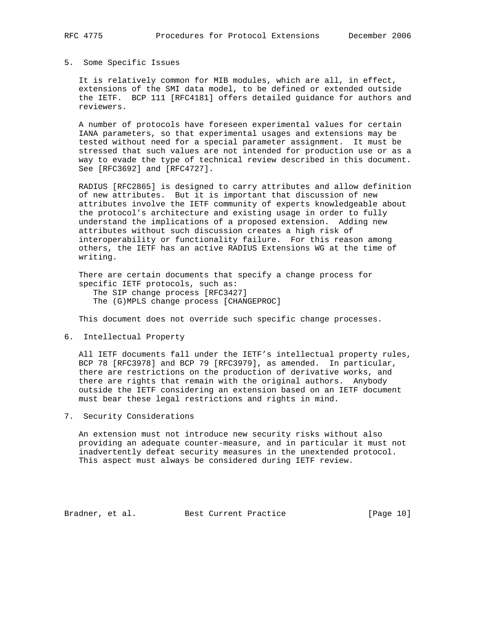#### 5. Some Specific Issues

 It is relatively common for MIB modules, which are all, in effect, extensions of the SMI data model, to be defined or extended outside the IETF. BCP 111 [RFC4181] offers detailed guidance for authors and reviewers.

 A number of protocols have foreseen experimental values for certain IANA parameters, so that experimental usages and extensions may be tested without need for a special parameter assignment. It must be stressed that such values are not intended for production use or as a way to evade the type of technical review described in this document. See [RFC3692] and [RFC4727].

 RADIUS [RFC2865] is designed to carry attributes and allow definition of new attributes. But it is important that discussion of new attributes involve the IETF community of experts knowledgeable about the protocol's architecture and existing usage in order to fully understand the implications of a proposed extension. Adding new attributes without such discussion creates a high risk of interoperability or functionality failure. For this reason among others, the IETF has an active RADIUS Extensions WG at the time of writing.

 There are certain documents that specify a change process for specific IETF protocols, such as: The SIP change process [RFC3427] The (G)MPLS change process [CHANGEPROC]

This document does not override such specific change processes.

6. Intellectual Property

 All IETF documents fall under the IETF's intellectual property rules, BCP 78 [RFC3978] and BCP 79 [RFC3979], as amended. In particular, there are restrictions on the production of derivative works, and there are rights that remain with the original authors. Anybody outside the IETF considering an extension based on an IETF document must bear these legal restrictions and rights in mind.

7. Security Considerations

 An extension must not introduce new security risks without also providing an adequate counter-measure, and in particular it must not inadvertently defeat security measures in the unextended protocol. This aspect must always be considered during IETF review.

Bradner, et al. Best Current Practice [Page 10]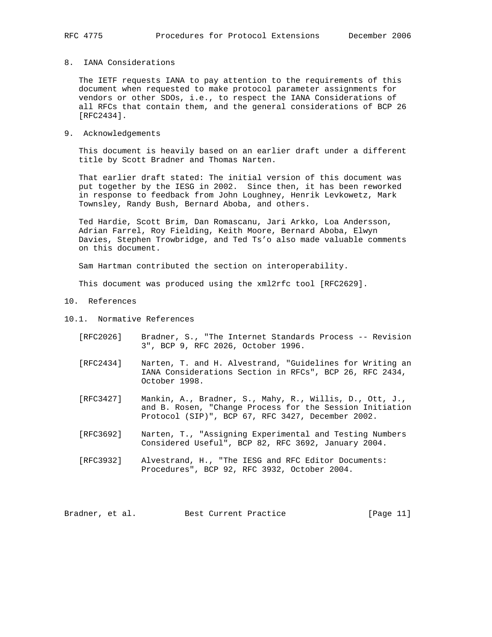## 8. IANA Considerations

 The IETF requests IANA to pay attention to the requirements of this document when requested to make protocol parameter assignments for vendors or other SDOs, i.e., to respect the IANA Considerations of all RFCs that contain them, and the general considerations of BCP 26 [RFC2434].

#### 9. Acknowledgements

 This document is heavily based on an earlier draft under a different title by Scott Bradner and Thomas Narten.

 That earlier draft stated: The initial version of this document was put together by the IESG in 2002. Since then, it has been reworked in response to feedback from John Loughney, Henrik Levkowetz, Mark Townsley, Randy Bush, Bernard Aboba, and others.

 Ted Hardie, Scott Brim, Dan Romascanu, Jari Arkko, Loa Andersson, Adrian Farrel, Roy Fielding, Keith Moore, Bernard Aboba, Elwyn Davies, Stephen Trowbridge, and Ted Ts'o also made valuable comments on this document.

Sam Hartman contributed the section on interoperability.

This document was produced using the xml2rfc tool [RFC2629].

- 10. References
- 10.1. Normative References
	- [RFC2026] Bradner, S., "The Internet Standards Process -- Revision 3", BCP 9, RFC 2026, October 1996.
	- [RFC2434] Narten, T. and H. Alvestrand, "Guidelines for Writing an IANA Considerations Section in RFCs", BCP 26, RFC 2434, October 1998.
	- [RFC3427] Mankin, A., Bradner, S., Mahy, R., Willis, D., Ott, J., and B. Rosen, "Change Process for the Session Initiation Protocol (SIP)", BCP 67, RFC 3427, December 2002.
	- [RFC3692] Narten, T., "Assigning Experimental and Testing Numbers Considered Useful", BCP 82, RFC 3692, January 2004.
	- [RFC3932] Alvestrand, H., "The IESG and RFC Editor Documents: Procedures", BCP 92, RFC 3932, October 2004.

Bradner, et al. Best Current Practice [Page 11]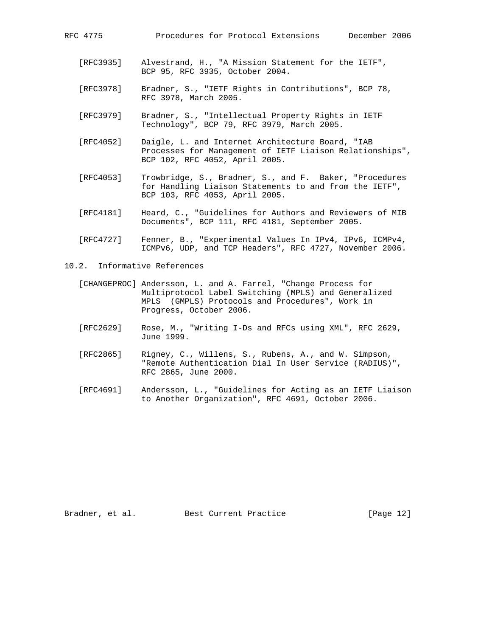- [RFC3935] Alvestrand, H., "A Mission Statement for the IETF", BCP 95, RFC 3935, October 2004.
- [RFC3978] Bradner, S., "IETF Rights in Contributions", BCP 78, RFC 3978, March 2005.
- [RFC3979] Bradner, S., "Intellectual Property Rights in IETF Technology", BCP 79, RFC 3979, March 2005.
- [RFC4052] Daigle, L. and Internet Architecture Board, "IAB Processes for Management of IETF Liaison Relationships", BCP 102, RFC 4052, April 2005.
- [RFC4053] Trowbridge, S., Bradner, S., and F. Baker, "Procedures for Handling Liaison Statements to and from the IETF", BCP 103, RFC 4053, April 2005.
- [RFC4181] Heard, C., "Guidelines for Authors and Reviewers of MIB Documents", BCP 111, RFC 4181, September 2005.
- [RFC4727] Fenner, B., "Experimental Values In IPv4, IPv6, ICMPv4, ICMPv6, UDP, and TCP Headers", RFC 4727, November 2006.
- 10.2. Informative References
	- [CHANGEPROC] Andersson, L. and A. Farrel, "Change Process for Multiprotocol Label Switching (MPLS) and Generalized MPLS (GMPLS) Protocols and Procedures", Work in Progress, October 2006.
	- [RFC2629] Rose, M., "Writing I-Ds and RFCs using XML", RFC 2629, June 1999.
	- [RFC2865] Rigney, C., Willens, S., Rubens, A., and W. Simpson, "Remote Authentication Dial In User Service (RADIUS)", RFC 2865, June 2000.
	- [RFC4691] Andersson, L., "Guidelines for Acting as an IETF Liaison to Another Organization", RFC 4691, October 2006.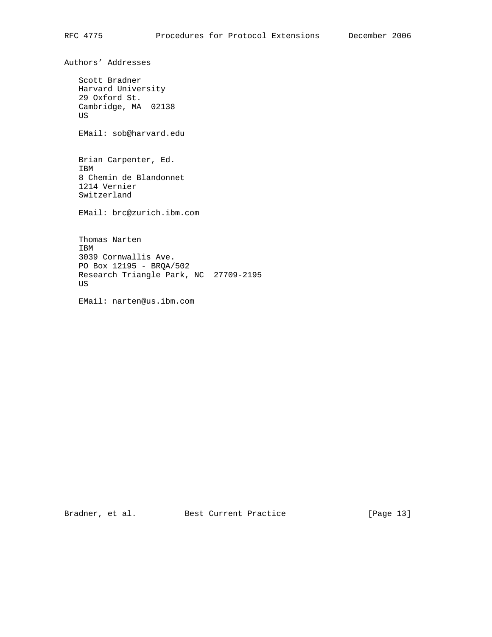Authors' Addresses Scott Bradner Harvard University 29 Oxford St. Cambridge, MA 02138 US EMail: sob@harvard.edu Brian Carpenter, Ed. IBM 8 Chemin de Blandonnet 1214 Vernier Switzerland EMail: brc@zurich.ibm.com Thomas Narten IBM 3039 Cornwallis Ave. PO Box 12195 - BRQA/502 Research Triangle Park, NC 27709-2195 US

EMail: narten@us.ibm.com

Bradner, et al. Best Current Practice [Page 13]